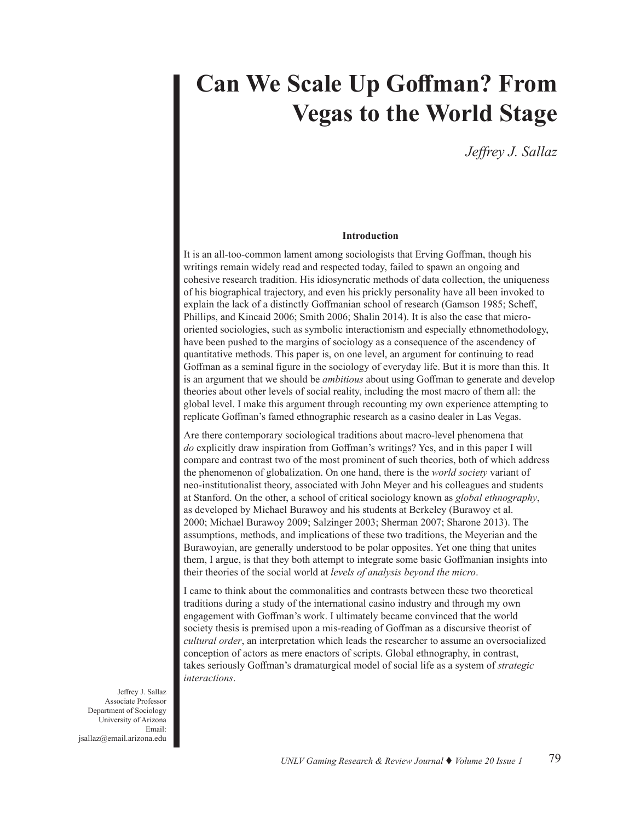# **Can We Scale Up Goffman? From Vegas to the World Stage**

*Jeffrey J. Sallaz*

# **Introduction**

It is an all-too-common lament among sociologists that Erving Goffman, though his writings remain widely read and respected today, failed to spawn an ongoing and cohesive research tradition. His idiosyncratic methods of data collection, the uniqueness of his biographical trajectory, and even his prickly personality have all been invoked to explain the lack of a distinctly Goffmanian school of research (Gamson 1985; Scheff, Phillips, and Kincaid 2006; Smith 2006; Shalin 2014). It is also the case that microoriented sociologies, such as symbolic interactionism and especially ethnomethodology, have been pushed to the margins of sociology as a consequence of the ascendency of quantitative methods. This paper is, on one level, an argument for continuing to read Goffman as a seminal figure in the sociology of everyday life. But it is more than this. It is an argument that we should be *ambitious* about using Goffman to generate and develop theories about other levels of social reality, including the most macro of them all: the global level. I make this argument through recounting my own experience attempting to replicate Goffman's famed ethnographic research as a casino dealer in Las Vegas.

Are there contemporary sociological traditions about macro-level phenomena that *do* explicitly draw inspiration from Goffman's writings? Yes, and in this paper I will compare and contrast two of the most prominent of such theories, both of which address the phenomenon of globalization. On one hand, there is the *world society* variant of neo-institutionalist theory, associated with John Meyer and his colleagues and students at Stanford. On the other, a school of critical sociology known as *global ethnography*, as developed by Michael Burawoy and his students at Berkeley (Burawoy et al. 2000; Michael Burawoy 2009; Salzinger 2003; Sherman 2007; Sharone 2013). The assumptions, methods, and implications of these two traditions, the Meyerian and the Burawoyian, are generally understood to be polar opposites. Yet one thing that unites them, I argue, is that they both attempt to integrate some basic Goffmanian insights into their theories of the social world at *levels of analysis beyond the micro*.

I came to think about the commonalities and contrasts between these two theoretical traditions during a study of the international casino industry and through my own engagement with Goffman's work. I ultimately became convinced that the world society thesis is premised upon a mis-reading of Goffman as a discursive theorist of *cultural order*, an interpretation which leads the researcher to assume an oversocialized conception of actors as mere enactors of scripts. Global ethnography, in contrast, takes seriously Goffman's dramaturgical model of social life as a system of *strategic interactions*.

Jeffrey J. Sallaz Associate Professor Department of Sociology University of Arizona Email: jsallaz@email.arizona.edu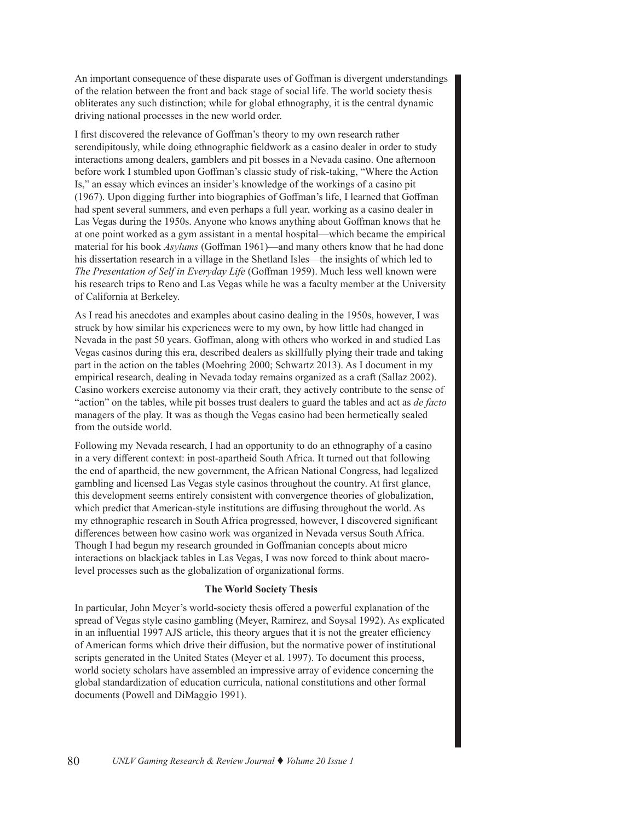An important consequence of these disparate uses of Goffman is divergent understandings of the relation between the front and back stage of social life. The world society thesis obliterates any such distinction; while for global ethnography, it is the central dynamic driving national processes in the new world order.

I first discovered the relevance of Goffman's theory to my own research rather serendipitously, while doing ethnographic fieldwork as a casino dealer in order to study interactions among dealers, gamblers and pit bosses in a Nevada casino. One afternoon before work I stumbled upon Goffman's classic study of risk-taking, "Where the Action Is," an essay which evinces an insider's knowledge of the workings of a casino pit (1967). Upon digging further into biographies of Goffman's life, I learned that Goffman had spent several summers, and even perhaps a full year, working as a casino dealer in Las Vegas during the 1950s. Anyone who knows anything about Goffman knows that he at one point worked as a gym assistant in a mental hospital—which became the empirical material for his book *Asylums* (Goffman 1961)—and many others know that he had done his dissertation research in a village in the Shetland Isles—the insights of which led to *The Presentation of Self in Everyday Life* (Goffman 1959). Much less well known were his research trips to Reno and Las Vegas while he was a faculty member at the University of California at Berkeley.

As I read his anecdotes and examples about casino dealing in the 1950s, however, I was struck by how similar his experiences were to my own, by how little had changed in Nevada in the past 50 years. Goffman, along with others who worked in and studied Las Vegas casinos during this era, described dealers as skillfully plying their trade and taking part in the action on the tables (Moehring 2000; Schwartz 2013). As I document in my empirical research, dealing in Nevada today remains organized as a craft (Sallaz 2002). Casino workers exercise autonomy via their craft, they actively contribute to the sense of "action" on the tables, while pit bosses trust dealers to guard the tables and act as *de facto* managers of the play. It was as though the Vegas casino had been hermetically sealed from the outside world.

Following my Nevada research, I had an opportunity to do an ethnography of a casino in a very different context: in post-apartheid South Africa. It turned out that following the end of apartheid, the new government, the African National Congress, had legalized gambling and licensed Las Vegas style casinos throughout the country. At first glance, this development seems entirely consistent with convergence theories of globalization, which predict that American-style institutions are diffusing throughout the world. As my ethnographic research in South Africa progressed, however, I discovered significant differences between how casino work was organized in Nevada versus South Africa. Though I had begun my research grounded in Goffmanian concepts about micro interactions on blackjack tables in Las Vegas, I was now forced to think about macrolevel processes such as the globalization of organizational forms.

# **The World Society Thesis**

In particular, John Meyer's world-society thesis offered a powerful explanation of the spread of Vegas style casino gambling (Meyer, Ramirez, and Soysal 1992). As explicated in an influential 1997 AJS article, this theory argues that it is not the greater efficiency of American forms which drive their diffusion, but the normative power of institutional scripts generated in the United States (Meyer et al. 1997). To document this process, world society scholars have assembled an impressive array of evidence concerning the global standardization of education curricula, national constitutions and other formal documents (Powell and DiMaggio 1991).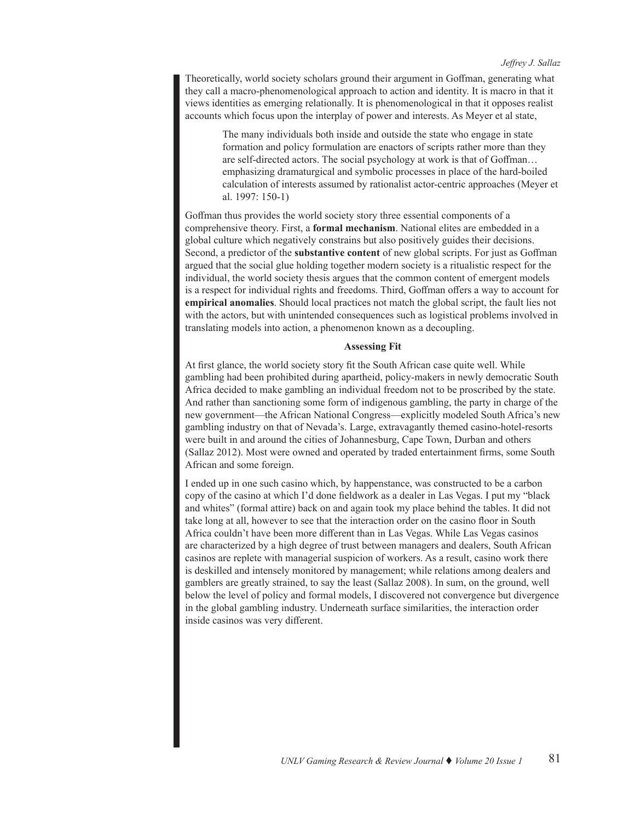Theoretically, world society scholars ground their argument in Goffman, generating what they call a macro-phenomenological approach to action and identity. It is macro in that it views identities as emerging relationally. It is phenomenological in that it opposes realist accounts which focus upon the interplay of power and interests. As Meyer et al state,

> The many individuals both inside and outside the state who engage in state formation and policy formulation are enactors of scripts rather more than they are self-directed actors. The social psychology at work is that of Goffman… emphasizing dramaturgical and symbolic processes in place of the hard-boiled calculation of interests assumed by rationalist actor-centric approaches (Meyer et al. 1997: 150-1)

Goffman thus provides the world society story three essential components of a comprehensive theory. First, a **formal mechanism**. National elites are embedded in a global culture which negatively constrains but also positively guides their decisions. Second, a predictor of the **substantive content** of new global scripts. For just as Goffman argued that the social glue holding together modern society is a ritualistic respect for the individual, the world society thesis argues that the common content of emergent models is a respect for individual rights and freedoms. Third, Goffman offers a way to account for **empirical anomalies**. Should local practices not match the global script, the fault lies not with the actors, but with unintended consequences such as logistical problems involved in translating models into action, a phenomenon known as a decoupling.

## **Assessing Fit**

At first glance, the world society story fit the South African case quite well. While gambling had been prohibited during apartheid, policy-makers in newly democratic South Africa decided to make gambling an individual freedom not to be proscribed by the state. And rather than sanctioning some form of indigenous gambling, the party in charge of the new government—the African National Congress—explicitly modeled South Africa's new gambling industry on that of Nevada's. Large, extravagantly themed casino-hotel-resorts were built in and around the cities of Johannesburg, Cape Town, Durban and others (Sallaz 2012). Most were owned and operated by traded entertainment firms, some South African and some foreign.

I ended up in one such casino which, by happenstance, was constructed to be a carbon copy of the casino at which I'd done fieldwork as a dealer in Las Vegas. I put my "black and whites" (formal attire) back on and again took my place behind the tables. It did not take long at all, however to see that the interaction order on the casino floor in South Africa couldn't have been more different than in Las Vegas. While Las Vegas casinos are characterized by a high degree of trust between managers and dealers, South African casinos are replete with managerial suspicion of workers. As a result, casino work there is deskilled and intensely monitored by management; while relations among dealers and gamblers are greatly strained, to say the least (Sallaz 2008). In sum, on the ground, well below the level of policy and formal models, I discovered not convergence but divergence in the global gambling industry. Underneath surface similarities, the interaction order inside casinos was very different.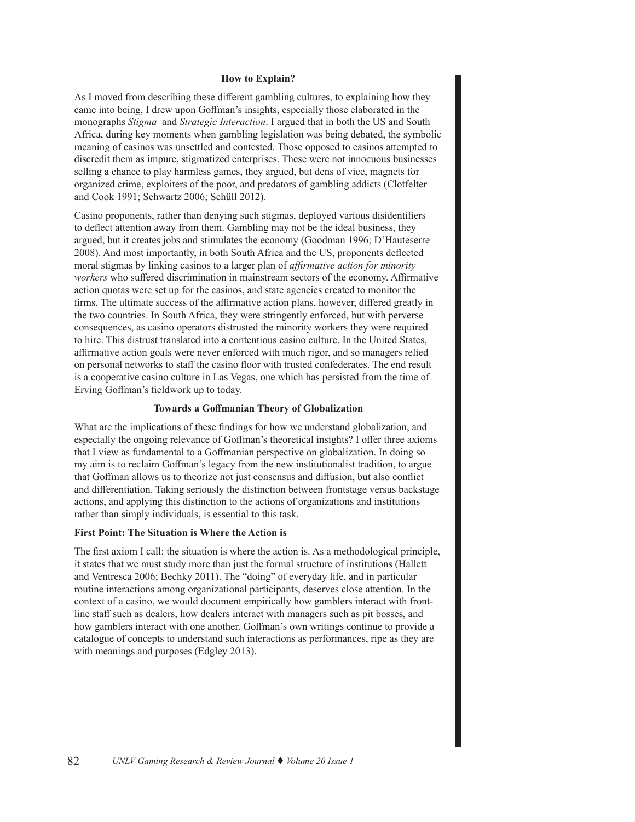# **How to Explain?**

As I moved from describing these different gambling cultures, to explaining how they came into being, I drew upon Goffman's insights, especially those elaborated in the monographs *Stigma* and *Strategic Interaction*. I argued that in both the US and South Africa, during key moments when gambling legislation was being debated, the symbolic meaning of casinos was unsettled and contested. Those opposed to casinos attempted to discredit them as impure, stigmatized enterprises. These were not innocuous businesses selling a chance to play harmless games, they argued, but dens of vice, magnets for organized crime, exploiters of the poor, and predators of gambling addicts (Clotfelter and Cook 1991; Schwartz 2006; Schüll 2012).

Casino proponents, rather than denying such stigmas, deployed various disidentifiers to deflect attention away from them. Gambling may not be the ideal business, they argued, but it creates jobs and stimulates the economy (Goodman 1996; D'Hauteserre 2008). And most importantly, in both South Africa and the US, proponents deflected moral stigmas by linking casinos to a larger plan of *affirmative action for minority workers* who suffered discrimination in mainstream sectors of the economy. Affirmative action quotas were set up for the casinos, and state agencies created to monitor the firms. The ultimate success of the affirmative action plans, however, differed greatly in the two countries. In South Africa, they were stringently enforced, but with perverse consequences, as casino operators distrusted the minority workers they were required to hire. This distrust translated into a contentious casino culture. In the United States, affirmative action goals were never enforced with much rigor, and so managers relied on personal networks to staff the casino floor with trusted confederates. The end result is a cooperative casino culture in Las Vegas, one which has persisted from the time of Erving Goffman's fieldwork up to today.

#### **Towards a Goffmanian Theory of Globalization**

What are the implications of these findings for how we understand globalization, and especially the ongoing relevance of Goffman's theoretical insights? I offer three axioms that I view as fundamental to a Goffmanian perspective on globalization. In doing so my aim is to reclaim Goffman's legacy from the new institutionalist tradition, to argue that Goffman allows us to theorize not just consensus and diffusion, but also conflict and differentiation. Taking seriously the distinction between frontstage versus backstage actions, and applying this distinction to the actions of organizations and institutions rather than simply individuals, is essential to this task.

## **First Point: The Situation is Where the Action is**

The first axiom I call: the situation is where the action is. As a methodological principle, it states that we must study more than just the formal structure of institutions (Hallett and Ventresca 2006; Bechky 2011). The "doing" of everyday life, and in particular routine interactions among organizational participants, deserves close attention. In the context of a casino, we would document empirically how gamblers interact with frontline staff such as dealers, how dealers interact with managers such as pit bosses, and how gamblers interact with one another. Goffman's own writings continue to provide a catalogue of concepts to understand such interactions as performances, ripe as they are with meanings and purposes (Edgley 2013).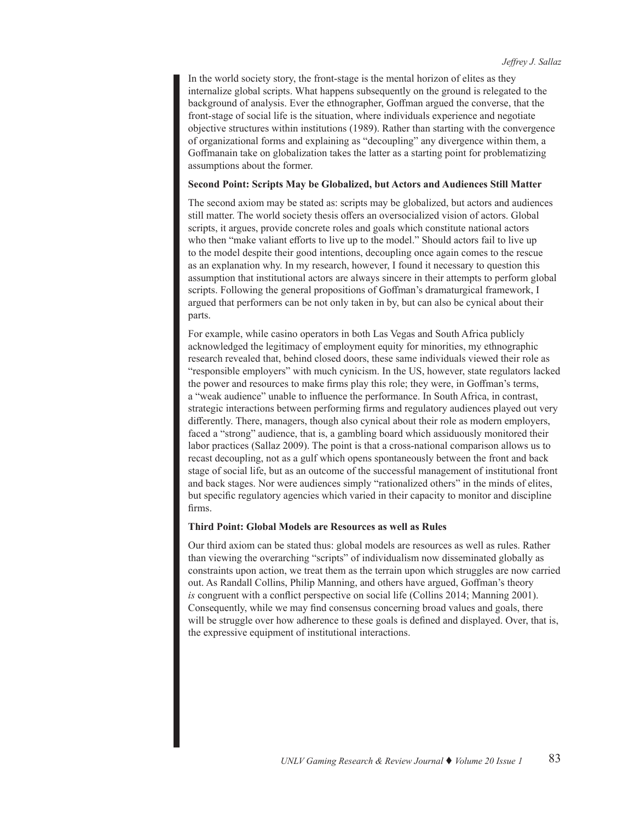In the world society story, the front-stage is the mental horizon of elites as they internalize global scripts. What happens subsequently on the ground is relegated to the background of analysis. Ever the ethnographer, Goffman argued the converse, that the front-stage of social life is the situation, where individuals experience and negotiate objective structures within institutions (1989). Rather than starting with the convergence of organizational forms and explaining as "decoupling" any divergence within them, a Goffmanain take on globalization takes the latter as a starting point for problematizing assumptions about the former.

#### **Second Point: Scripts May be Globalized, but Actors and Audiences Still Matter**

The second axiom may be stated as: scripts may be globalized, but actors and audiences still matter. The world society thesis offers an oversocialized vision of actors. Global scripts, it argues, provide concrete roles and goals which constitute national actors who then "make valiant efforts to live up to the model." Should actors fail to live up to the model despite their good intentions, decoupling once again comes to the rescue as an explanation why. In my research, however, I found it necessary to question this assumption that institutional actors are always sincere in their attempts to perform global scripts. Following the general propositions of Goffman's dramaturgical framework, I argued that performers can be not only taken in by, but can also be cynical about their parts.

For example, while casino operators in both Las Vegas and South Africa publicly acknowledged the legitimacy of employment equity for minorities, my ethnographic research revealed that, behind closed doors, these same individuals viewed their role as "responsible employers" with much cynicism. In the US, however, state regulators lacked the power and resources to make firms play this role; they were, in Goffman's terms, a "weak audience" unable to influence the performance. In South Africa, in contrast, strategic interactions between performing firms and regulatory audiences played out very differently. There, managers, though also cynical about their role as modern employers, faced a "strong" audience, that is, a gambling board which assiduously monitored their labor practices (Sallaz 2009). The point is that a cross-national comparison allows us to recast decoupling, not as a gulf which opens spontaneously between the front and back stage of social life, but as an outcome of the successful management of institutional front and back stages. Nor were audiences simply "rationalized others" in the minds of elites, but specific regulatory agencies which varied in their capacity to monitor and discipline firms.

# **Third Point: Global Models are Resources as well as Rules**

Our third axiom can be stated thus: global models are resources as well as rules. Rather than viewing the overarching "scripts" of individualism now disseminated globally as constraints upon action, we treat them as the terrain upon which struggles are now carried out. As Randall Collins, Philip Manning, and others have argued, Goffman's theory *is* congruent with a conflict perspective on social life (Collins 2014; Manning 2001). Consequently, while we may find consensus concerning broad values and goals, there will be struggle over how adherence to these goals is defined and displayed. Over, that is, the expressive equipment of institutional interactions.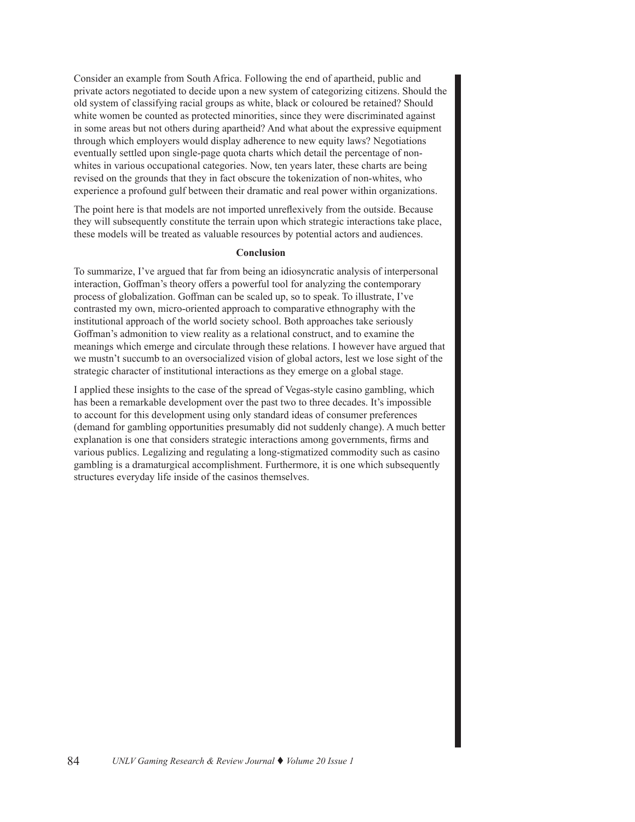Consider an example from South Africa. Following the end of apartheid, public and private actors negotiated to decide upon a new system of categorizing citizens. Should the old system of classifying racial groups as white, black or coloured be retained? Should white women be counted as protected minorities, since they were discriminated against in some areas but not others during apartheid? And what about the expressive equipment through which employers would display adherence to new equity laws? Negotiations eventually settled upon single-page quota charts which detail the percentage of nonwhites in various occupational categories. Now, ten years later, these charts are being revised on the grounds that they in fact obscure the tokenization of non-whites, who experience a profound gulf between their dramatic and real power within organizations.

The point here is that models are not imported unreflexively from the outside. Because they will subsequently constitute the terrain upon which strategic interactions take place, these models will be treated as valuable resources by potential actors and audiences.

#### **Conclusion**

To summarize, I've argued that far from being an idiosyncratic analysis of interpersonal interaction, Goffman's theory offers a powerful tool for analyzing the contemporary process of globalization. Goffman can be scaled up, so to speak. To illustrate, I've contrasted my own, micro-oriented approach to comparative ethnography with the institutional approach of the world society school. Both approaches take seriously Goffman's admonition to view reality as a relational construct, and to examine the meanings which emerge and circulate through these relations. I however have argued that we mustn't succumb to an oversocialized vision of global actors, lest we lose sight of the strategic character of institutional interactions as they emerge on a global stage.

I applied these insights to the case of the spread of Vegas-style casino gambling, which has been a remarkable development over the past two to three decades. It's impossible to account for this development using only standard ideas of consumer preferences (demand for gambling opportunities presumably did not suddenly change). A much better explanation is one that considers strategic interactions among governments, firms and various publics. Legalizing and regulating a long-stigmatized commodity such as casino gambling is a dramaturgical accomplishment. Furthermore, it is one which subsequently structures everyday life inside of the casinos themselves.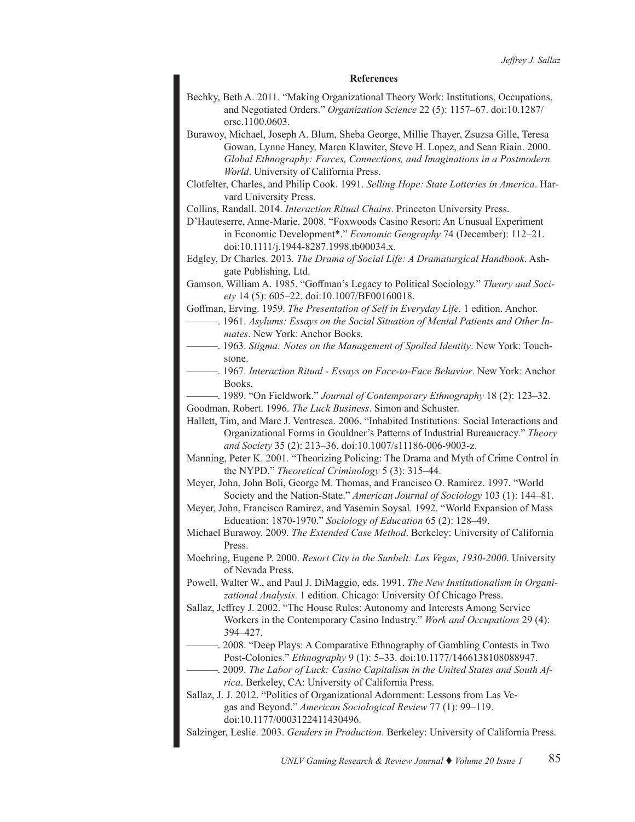#### **References**

Bechky, Beth A. 2011. "Making Organizational Theory Work: Institutions, Occupations, and Negotiated Orders." *Organization Science* 22 (5): 1157–67. doi:10.1287/ orsc.1100.0603.

Burawoy, Michael, Joseph A. Blum, Sheba George, Millie Thayer, Zsuzsa Gille, Teresa Gowan, Lynne Haney, Maren Klawiter, Steve H. Lopez, and Sean Riain. 2000. *Global Ethnography: Forces, Connections, and Imaginations in a Postmodern World*. University of California Press.

Clotfelter, Charles, and Philip Cook. 1991. *Selling Hope: State Lotteries in America*. Harvard University Press.

Collins, Randall. 2014. *Interaction Ritual Chains*. Princeton University Press.

D'Hauteserre, Anne-Marie. 2008. "Foxwoods Casino Resort: An Unusual Experiment in Economic Development\*." *Economic Geography* 74 (December): 112–21. doi:10.1111/j.1944-8287.1998.tb00034.x.

Edgley, Dr Charles. 2013. *The Drama of Social Life: A Dramaturgical Handbook*. Ashgate Publishing, Ltd.

Gamson, William A. 1985. "Goffman's Legacy to Political Sociology." *Theory and Society* 14 (5): 605–22. doi:10.1007/BF00160018.

Goffman, Erving. 1959. *The Presentation of Self in Everyday Life*. 1 edition. Anchor.

- ———. 1961. *Asylums: Essays on the Social Situation of Mental Patients and Other Inmates*. New York: Anchor Books.
- 1963. Stigma: Notes on the Management of Spoiled Identity. New York: Touchstone.
- ———. 1967. *Interaction Ritual Essays on Face-to-Face Behavior*. New York: Anchor Books.

———. 1989. "On Fieldwork." *Journal of Contemporary Ethnography* 18 (2): 123–32. Goodman, Robert. 1996. *The Luck Business*. Simon and Schuster.

Hallett, Tim, and Marc J. Ventresca. 2006. "Inhabited Institutions: Social Interactions and Organizational Forms in Gouldner's Patterns of Industrial Bureaucracy." *Theory and Society* 35 (2): 213–36. doi:10.1007/s11186-006-9003-z.

Manning, Peter K. 2001. "Theorizing Policing: The Drama and Myth of Crime Control in the NYPD." *Theoretical Criminology* 5 (3): 315–44.

Meyer, John, John Boli, George M. Thomas, and Francisco O. Ramirez. 1997. "World Society and the Nation-State." *American Journal of Sociology* 103 (1): 144–81.

Meyer, John, Francisco Ramirez, and Yasemin Soysal. 1992. "World Expansion of Mass Education: 1870-1970." *Sociology of Education* 65 (2): 128–49.

Michael Burawoy. 2009. *The Extended Case Method*. Berkeley: University of California Press.

Moehring, Eugene P. 2000. *Resort City in the Sunbelt: Las Vegas, 1930-2000*. University of Nevada Press.

Powell, Walter W., and Paul J. DiMaggio, eds. 1991. *The New Institutionalism in Organizational Analysis*. 1 edition. Chicago: University Of Chicago Press.

Sallaz, Jeffrey J. 2002. "The House Rules: Autonomy and Interests Among Service Workers in the Contemporary Casino Industry." *Work and Occupations* 29 (4): 394–427.

———. 2008. "Deep Plays: A Comparative Ethnography of Gambling Contests in Two Post-Colonies." *Ethnography* 9 (1): 5–33. doi:10.1177/1466138108088947.

———. 2009. *The Labor of Luck: Casino Capitalism in the United States and South Africa*. Berkeley, CA: University of California Press.

Sallaz, J. J. 2012. "Politics of Organizational Adornment: Lessons from Las Vegas and Beyond." *American Sociological Review* 77 (1): 99–119. doi:10.1177/0003122411430496.

Salzinger, Leslie. 2003. *Genders in Production*. Berkeley: University of California Press.